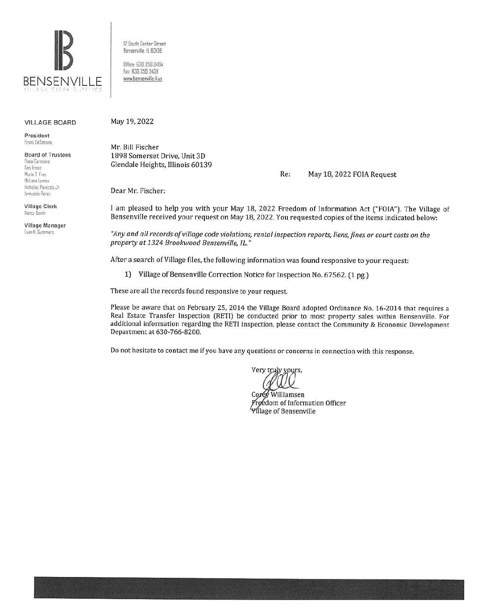

12 South Center Street Bensemille IL SOI06 Office: 630.350.3404 Fax: 630.350.3438

www.bensenville.il.us

VILLAGE BOARD May 19, 2022

President f ranl De Simone

Board of Trustees Rosa Carmona **A.un fran1**  Marie T. Frey Mclane Lomax llicholas Panicola Jr Armando Pere,

Village Clerk Nancy **Buinn** 

Village Manager Evan K. Summers

Mr. Bill Fischer 1898 Somerset Drive, Unit 3D Glendale Heights, Illinois 60139

Re: May 18, 2022 FOIA Request

Dear Mr. Fischer:

I am pleased to help you with your May 18, 2022 Freedom of Information Act ("FOIA"). The Village of Bensenville received your request on May 18, 2022. You requested copies of the items indicated below:

*"Any and all records of village code violations, rental inspection reports, liens, fines or court costs on the property at 1324 Brookwood Bensenville, IL."* 

After a search of Village files, the following information was found responsive to your request:

1) Village of Bensenville Correction Notice for Inspection No. 67562. (1 pg.)

These are all the records found responsive to your request.

Please be aware that on February 25, 2014 the Village Board adopted Ordinance No. 16-2014 that requires a Real Estate Transfer Inspection (RETI) be conducted prior to most property sales within Bensenville. For additional information regarding the RETI inspection, please contact the Community & Economic Development Department at 630-766-8200.

Do not hesitate to contact me if you have any questions or concerns in connection with this response.

Very truly yours.

Williamsen Proedom of Information Officer **Village of Bensenville**